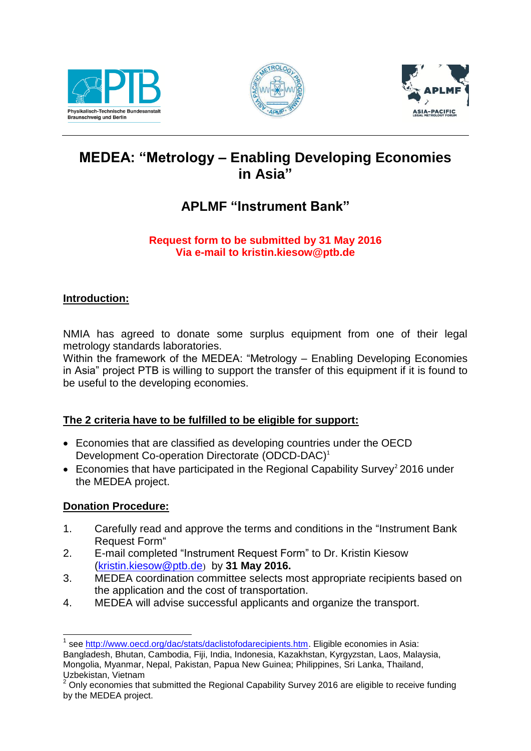





# **MEDEA: "Metrology – Enabling Developing Economies in Asia"**

## **APLMF "Instrument Bank"**

#### **Request form to be submitted by 31 May 2016 Via e-mail to kristin.kiesow@ptb.de**

#### **Introduction:**

NMIA has agreed to donate some surplus equipment from one of their legal metrology standards laboratories.

Within the framework of the MEDEA: "Metrology – Enabling Developing Economies in Asia" project PTB is willing to support the transfer of this equipment if it is found to be useful to the developing economies.

#### **The 2 criteria have to be fulfilled to be eligible for support:**

- Economies that are classified as developing countries under the OECD Development Co-operation Directorate (ODCD-DAC)<sup>1</sup>
- Economies that have participated in the Regional Capability Survey<sup>2</sup> 2016 under the MEDEA project.

#### **Donation Procedure:**

- 1. Carefully read and approve the terms and conditions in the "Instrument Bank Request Form"
- 2. E-mail completed "Instrument Request Form" to Dr. Kristin Kiesow [\(kristin.kiesow@ptb.de](mailto:kristin.kiesow@ptb.de)) by **31 May 2016.**
- 3. MEDEA coordination committee selects most appropriate recipients based on the application and the cost of transportation.
- 4. MEDEA will advise successful applicants and organize the transport.

<sup>1</sup> <sup>1</sup> see [http://www.oecd.org/dac/stats/daclistofodarecipients.htm.](http://www.oecd.org/dac/stats/daclistofodarecipients.htm) Eligible economies in Asia: Bangladesh, Bhutan, Cambodia, Fiji, India, Indonesia, Kazakhstan, Kyrgyzstan, Laos, Malaysia, Mongolia, Myanmar, Nepal, Pakistan, Papua New Guinea; Philippines, Sri Lanka, Thailand, Uzbekistan, Vietnam

 $2$  Only economies that submitted the Regional Capability Survey 2016 are eligible to receive funding by the MEDEA project.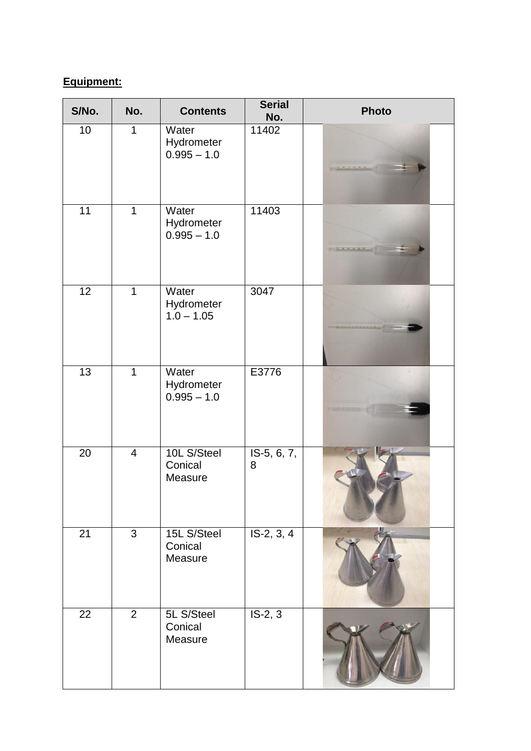### **Equipment:**

| S/No.           | No.            | <b>Contents</b>                      | <b>Serial</b><br>No. | <b>Photo</b> |
|-----------------|----------------|--------------------------------------|----------------------|--------------|
| 10              | $\mathbf 1$    | Water<br>Hydrometer<br>$0.995 - 1.0$ | 11402                |              |
| 11              | $\mathbf{1}$   | Water<br>Hydrometer<br>$0.995 - 1.0$ | 11403                |              |
| $\overline{12}$ | $\mathbf{1}$   | Water<br>Hydrometer<br>$1.0 - 1.05$  | 3047                 |              |
| 13              | $\mathbf 1$    | Water<br>Hydrometer<br>$0.995 - 1.0$ | E3776                |              |
| 20              | $\overline{4}$ | 10L S/Steel<br>Conical<br>Measure    | IS-5, 6, 7,<br>8     |              |
| 21              | $\overline{3}$ | 15L S/Steel<br>Conical<br>Measure    | $IS-2, 3, 4$         |              |
| 22              | $\overline{2}$ | 5L S/Steel<br>Conical<br>Measure     | $IS-2, 3$            |              |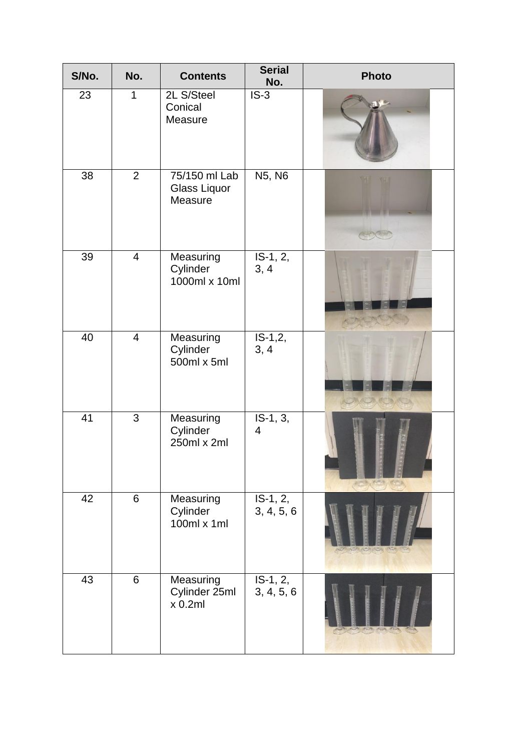| S/No. | No.            | <b>Contents</b>                             | <b>Serial</b><br>No.     | <b>Photo</b> |
|-------|----------------|---------------------------------------------|--------------------------|--------------|
| 23    | $\mathbf 1$    | 2L S/Steel<br>Conical<br>Measure            | $IS-3$                   |              |
| 38    | $\overline{2}$ | 75/150 ml Lab<br>Glass Liquor<br>Measure    | N5, N6                   |              |
| 39    | $\overline{4}$ | Measuring<br>Cylinder<br>1000ml x 10ml      | $IS-1, 2,$<br>3, 4       |              |
| 40    | $\overline{4}$ | Measuring<br>Cylinder<br>500ml x 5ml        | $IS-1,2,$<br>3, 4        |              |
| 41    | $\mathfrak{S}$ | Measuring<br>Cylinder<br>250ml x 2ml        | IS-1, 3,<br>4            |              |
| 42    | 6              | Measuring<br>Cylinder<br>$100ml \times 1ml$ | $IS-1, 2,$<br>3, 4, 5, 6 |              |
| 43    | $6\,$          | Measuring<br>Cylinder 25ml<br>x 0.2ml       | $IS-1, 2,$<br>3, 4, 5, 6 |              |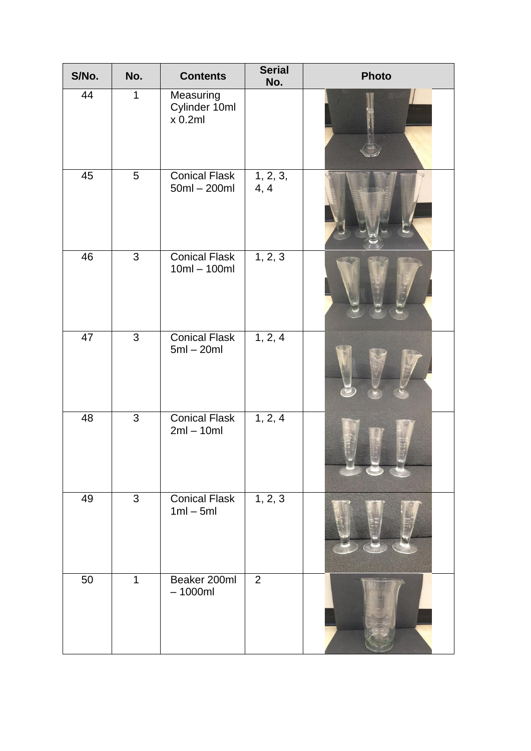| S/No. | No.             | <b>Contents</b>                        | <b>Serial</b><br>No.           | <b>Photo</b> |
|-------|-----------------|----------------------------------------|--------------------------------|--------------|
| 44    | $\mathbf 1$     | Measuring<br>Cylinder 10ml<br>x 0.2ml  |                                |              |
| 45    | $5\overline{)}$ | <b>Conical Flask</b><br>50ml - 200ml   | $\overline{1}$ , 2, 3,<br>4, 4 |              |
| 46    | $\mathbf{3}$    | <b>Conical Flask</b><br>$10ml - 100ml$ | 1, 2, 3                        |              |
| 47    | $\overline{3}$  | <b>Conical Flask</b><br>$5ml - 20ml$   | 1, 2, 4                        |              |
| 48    | $\mathfrak{S}$  | <b>Conical Flask</b><br>$2ml - 10ml$   | 1, 2, 4                        |              |
| 49    | $\mathbf{3}$    | <b>Conical Flask</b><br>$1ml - 5ml$    | 1, 2, 3                        |              |
| 50    | $\mathbf{1}$    | Beaker 200ml<br>$-1000ml$              | $\overline{2}$                 |              |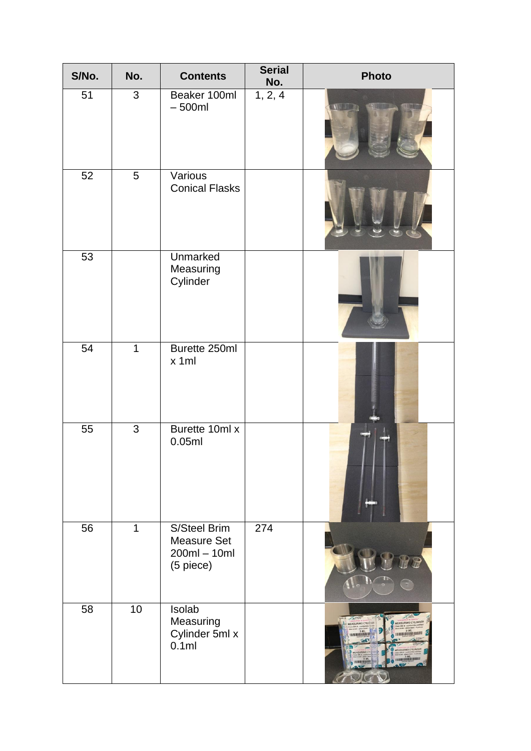| S/No. | No.            | <b>Contents</b>                                                   | <b>Serial</b><br>No. | <b>Photo</b>                                                                                 |
|-------|----------------|-------------------------------------------------------------------|----------------------|----------------------------------------------------------------------------------------------|
| 51    | $\mathbf{3}$   | Beaker 100ml<br>$-500ml$                                          | 1, 2, 4              |                                                                                              |
| 52    | $\overline{5}$ | Various<br><b>Conical Flasks</b>                                  |                      |                                                                                              |
| 53    |                | Unmarked<br>Measuring<br>Cylinder                                 |                      |                                                                                              |
| 54    | $\mathbf{1}$   | Burette 250ml<br>x 1ml                                            |                      |                                                                                              |
| 55    | $\overline{3}$ | Burette 10ml x<br>0.05ml                                          |                      |                                                                                              |
| 56    | $\mathbf{1}$   | S/Steel Brim<br><b>Measure Set</b><br>$200ml - 10ml$<br>(5 piece) | 274                  |                                                                                              |
| 58    | 10             | Isolab<br>Measuring<br>Cylinder 5ml x<br>0.1ml                    |                      | 0.5075<br><b>MEASURING CYLINDER</b><br>EASURING CYLE<br><b>SML</b><br>WWW.MAN<br>11118180318 |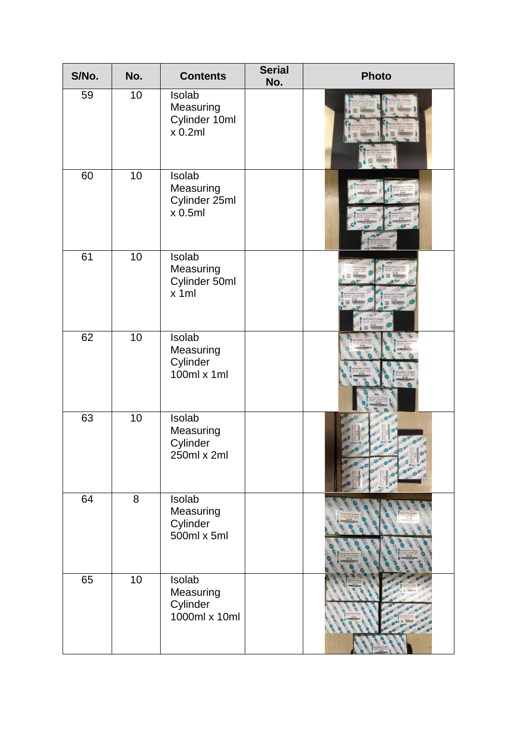| S/No. | No. | <b>Contents</b>                                  | <b>Serial</b><br>No. | <b>Photo</b> |
|-------|-----|--------------------------------------------------|----------------------|--------------|
| 59    | 10  | Isolab<br>Measuring<br>Cylinder 10ml<br>x 0.2ml  |                      |              |
| 60    | 10  | Isolab<br>Measuring<br>Cylinder 25ml<br>x 0.5ml  |                      |              |
| 61    | 10  | Isolab<br>Measuring<br>Cylinder 50ml<br>x 1ml    |                      |              |
| 62    | 10  | Isolab<br>Measuring<br>Cylinder<br>100ml x 1ml   |                      |              |
| 63    | 10  | Isolab<br>Measuring<br>Cylinder<br>250ml x 2ml   |                      |              |
| 64    | 8   | Isolab<br>Measuring<br>Cylinder<br>500ml x 5ml   |                      |              |
| 65    | 10  | Isolab<br>Measuring<br>Cylinder<br>1000ml x 10ml |                      |              |